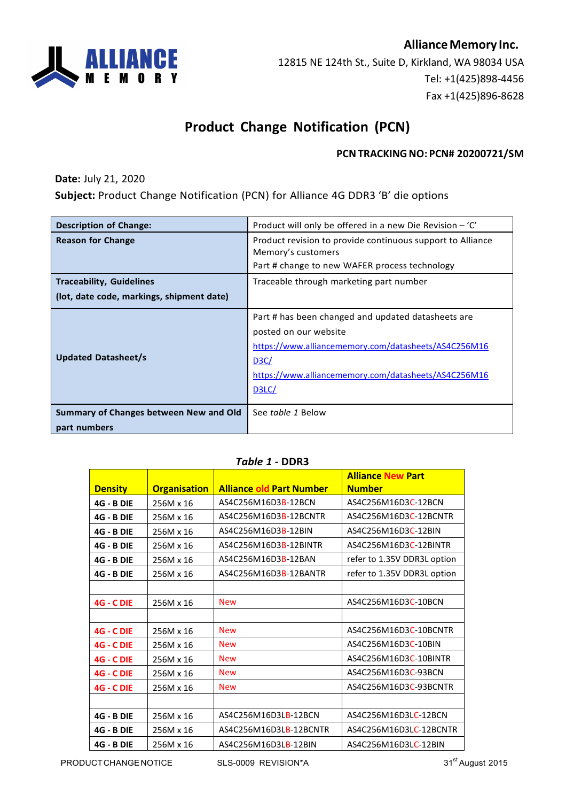## **AllianceMemory Inc.**



12815 NE 124th St., Suite D, Kirkland, WA 98034 USA Tel: +1(425)898-4456 Fax +1(425)896-8628

# **Product Change Notification (PCN)**

#### **PCNTRACKINGNO: PCN# 20200721/SM**

**Date:** July 21, 2020

**Subject:** Product Change Notification (PCN) for Alliance 4G DDR3 'B' die options

| <b>Description of Change:</b>             | Product will only be offered in a new Die Revision – 'C'                                                                                                                                                                  |  |
|-------------------------------------------|---------------------------------------------------------------------------------------------------------------------------------------------------------------------------------------------------------------------------|--|
| <b>Reason for Change</b>                  | Product revision to provide continuous support to Alliance<br>Memory's customers<br>Part # change to new WAFER process technology                                                                                         |  |
| <b>Traceability, Guidelines</b>           | Traceable through marketing part number                                                                                                                                                                                   |  |
| (lot, date code, markings, shipment date) |                                                                                                                                                                                                                           |  |
| <b>Updated Datasheet/s</b>                | Part # has been changed and updated datasheets are<br>posted on our website<br>https://www.alliancememory.com/datasheets/AS4C256M16<br>D <sub>3</sub> C/<br>https://www.alliancememory.com/datasheets/AS4C256M16<br>D3LC/ |  |
| Summary of Changes between New and Old    | See table 1 Below                                                                                                                                                                                                         |  |
| part numbers                              |                                                                                                                                                                                                                           |  |

|                   |                     |                                 | <b>Alliance New Part</b>    |
|-------------------|---------------------|---------------------------------|-----------------------------|
| <b>Density</b>    | <b>Organisation</b> | <b>Alliance old Part Number</b> | <b>Number</b>               |
| <b>4G - B DIE</b> | 256M x 16           | AS4C256M16D3B-12BCN             | AS4C256M16D3C-12BCN         |
| <b>4G - B DIE</b> | 256M x 16           | AS4C256M16D3B-12BCNTR           | AS4C256M16D3C-12BCNTR       |
| <b>4G - B DIE</b> | 256M x 16           | AS4C256M16D3B-12BIN             | AS4C256M16D3C-12BIN         |
| <b>4G - B DIE</b> | 256M x 16           | AS4C256M16D3B-12BINTR           | AS4C256M16D3C-12BINTR       |
| <b>4G - B DIE</b> | 256M x 16           | AS4C256M16D3B-12BAN             | refer to 1.35V DDR3L option |
| <b>4G - B DIE</b> | 256M x 16           | AS4C256M16D3B-12BANTR           | refer to 1.35V DDR3L option |
|                   |                     |                                 |                             |
| <b>4G - C DIE</b> | 256M x 16           | <b>New</b>                      | AS4C256M16D3C-10BCN         |
|                   |                     |                                 |                             |
| <b>4G - C DIE</b> | 256M x 16           | <b>New</b>                      | AS4C256M16D3C-10BCNTR       |
| <b>4G - C DIE</b> | 256M x 16           | <b>New</b>                      | AS4C256M16D3C-10BIN         |
| <b>4G - C DIE</b> | 256M x 16           | <b>New</b>                      | AS4C256M16D3C-10BINTR       |
| <b>4G - C DIE</b> | 256M x 16           | <b>New</b>                      | AS4C256M16D3C-93BCN         |
| <b>4G - C DIE</b> | 256M x 16           | <b>New</b>                      | AS4C256M16D3C-93BCNTR       |
|                   |                     |                                 |                             |
| <b>4G - B DIE</b> | 256M x 16           | AS4C256M16D3LB-12BCN            | AS4C256M16D3LC-12BCN        |
| <b>4G - B DIE</b> | 256M x 16           | AS4C256M16D3LB-12BCNTR          | AS4C256M16D3LC-12BCNTR      |
| <b>4G - B DIE</b> | 256M x 16           | AS4C256M16D3LB-12BIN            | AS4C256M16D3LC-12BIN        |

#### *Table 1 -* **DDR3**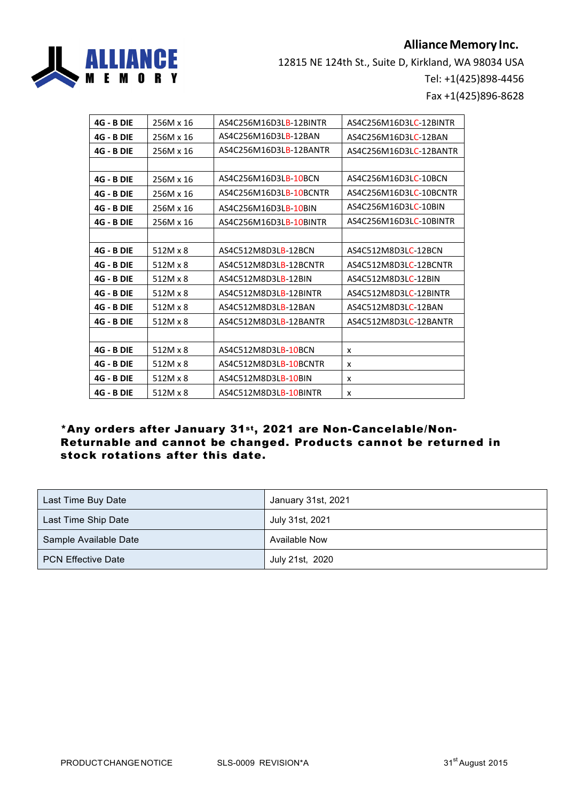## **Alliance Memory Inc.**



12815 NE 124th St., Suite D, Kirkland, WA 98034 USA Tel: +1(425)898-4456 Fax +1(425)896-8628

| <b>4G - B DIE</b> | 256M x 16 | AS4C256M16D3LB-12BINTR | AS4C256M16D3LC-12BINTR |
|-------------------|-----------|------------------------|------------------------|
| <b>4G - B DIE</b> | 256M x 16 | AS4C256M16D3LB-12BAN   | AS4C256M16D3LC-12BAN   |
| <b>4G - B DIE</b> | 256M x 16 | AS4C256M16D3LB-12BANTR | AS4C256M16D3LC-12BANTR |
|                   |           |                        |                        |
| <b>4G - B DIE</b> | 256M x 16 | AS4C256M16D3LB-10BCN   | AS4C256M16D3LC-10BCN   |
| <b>4G - B DIE</b> | 256M x 16 | AS4C256M16D3LB-10BCNTR | AS4C256M16D3LC-10BCNTR |
| <b>4G - B DIE</b> | 256M x 16 | AS4C256M16D3LB-10BIN   | AS4C256M16D3LC-10BIN   |
| <b>4G - B DIE</b> | 256M x 16 | AS4C256M16D3LB-10BINTR | AS4C256M16D3LC-10BINTR |
|                   |           |                        |                        |
| <b>4G - B DIE</b> | 512M x 8  | AS4C512M8D3LB-12BCN    | AS4C512M8D3LC-12BCN    |
| <b>4G - B DIE</b> | 512M x 8  | AS4C512M8D3LB-12BCNTR  | AS4C512M8D3LC-12BCNTR  |
| <b>4G - B DIE</b> | 512M x 8  | AS4C512M8D3LB-12BIN    | AS4C512M8D3LC-12BIN    |
| <b>4G - B DIE</b> | 512M x 8  | AS4C512M8D3LB-12BINTR  | AS4C512M8D3LC-12BINTR  |
| <b>4G - B DIE</b> | 512M x 8  | AS4C512M8D3LB-12BAN    | AS4C512M8D3LC-12BAN    |
| <b>4G - B DIE</b> | 512M x 8  | AS4C512M8D3LB-12BANTR  | AS4C512M8D3LC-12BANTR  |
|                   |           |                        |                        |
| <b>4G - B DIE</b> | 512M x 8  | AS4C512M8D3LB-10BCN    | x                      |
| <b>4G - B DIE</b> | 512M x 8  | AS4C512M8D3LB-10BCNTR  | x                      |
| <b>4G - B DIE</b> | 512M x 8  | AS4C512M8D3LB-10BIN    | x                      |
| <b>4G - B DIE</b> | 512M x 8  | AS4C512M8D3LB-10BINTR  | x                      |

### \*Any orders after January 31st , 2021 are Non-Cancelable/Non-Returnable and cannot be changed. Products cannot be returned in stock rotations after this date.

| Last Time Buy Date        | January 31st, 2021 |
|---------------------------|--------------------|
| Last Time Ship Date       | July 31st, 2021    |
| Sample Available Date     | Available Now      |
| <b>PCN Effective Date</b> | July 21st, 2020    |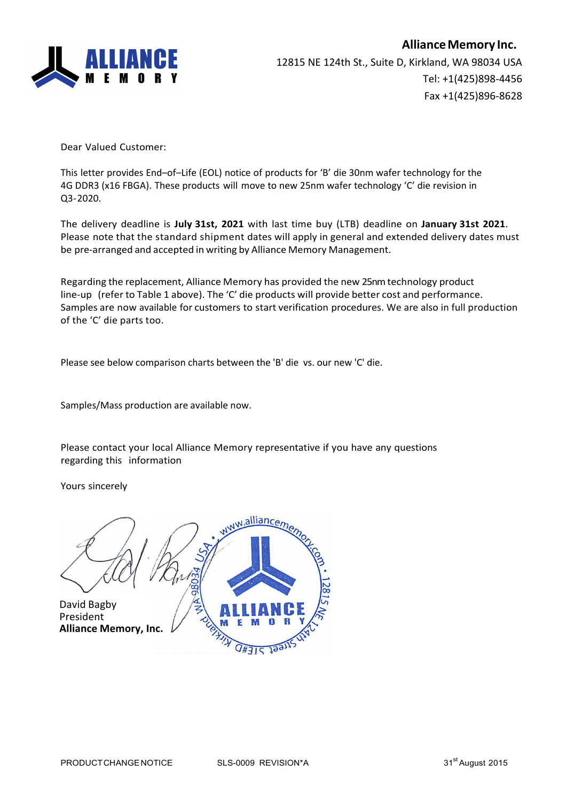

Dear Valued Customer:

This letter provides End–of–Life (EOL) notice of products for 'B' die 30nm wafer technology for the 4G DDR3 (x16 FBGA). These products will move to new 25nm wafer technology 'C' die revision in Q3-2020.

The delivery deadline is **July 31st, 2021** with last time buy (LTB) deadline on **January 31st 2021**. Please note that the standard shipment dates will apply in general and extended delivery dates must be pre-arranged and accepted in writing by Alliance Memory Management.

Regarding the replacement, Alliance Memory has provided the new 25nmtechnology product line-up (refer to Table 1 above). The 'C' die products will provide better cost and performance. Samples are now available for customers to start verification procedures. We are also in full production of the 'C' die parts too.

Please see below comparison charts between the 'B' die vs. our new 'C' die.

Samples/Mass production are available now.

Please contact your local Alliance Memory representative if you have any questions regarding this information

Yours sincerely

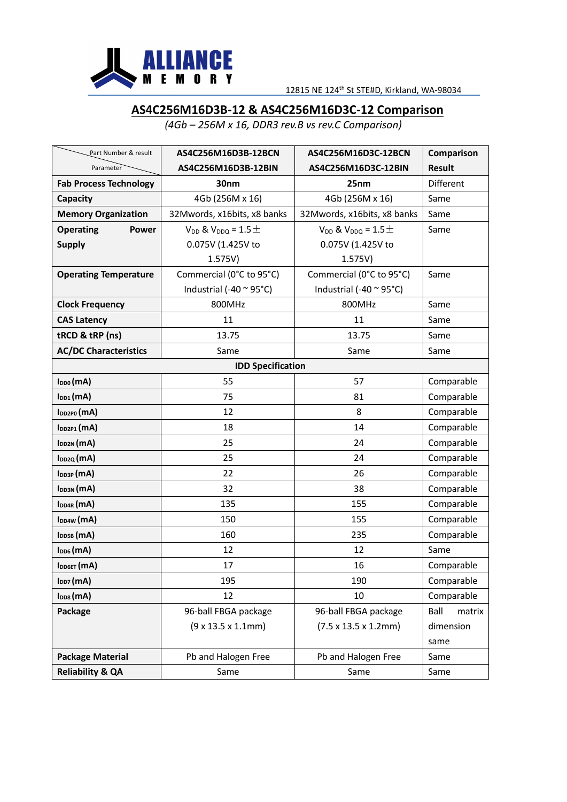

# **AS4C256M16D3B-12 & AS4C256M16D3C-12 Comparison**

*(4Gb – 256M x 16, DDR3 rev.B vs rev.C Comparison)*

| Part Number & result          | AS4C256M16D3B-12BCN             | AS4C256M16D3C-12BCN                      | Comparison     |
|-------------------------------|---------------------------------|------------------------------------------|----------------|
| Parameter                     | AS4C256M16D3B-12BIN             | AS4C256M16D3C-12BIN                      | <b>Result</b>  |
| <b>Fab Process Technology</b> | 30nm                            | 25nm                                     | Different      |
| Capacity                      | 4Gb (256M x 16)                 | 4Gb (256M x 16)                          | Same           |
| <b>Memory Organization</b>    | 32Mwords, x16bits, x8 banks     | 32Mwords, x16bits, x8 banks              | Same           |
| <b>Operating</b><br>Power     | $V_{DD}$ & $V_{DDQ} = 1.5 \pm$  | $V_{DD}$ & $V_{DDQ} = 1.5 \pm 1.5$       | Same           |
| <b>Supply</b>                 | 0.075V (1.425V to               | 0.075V (1.425V to                        |                |
|                               | 1.575V)                         | 1.575V)                                  |                |
| <b>Operating Temperature</b>  | Commercial (0°C to 95°C)        | Commercial (0°C to 95°C)                 | Same           |
|                               | Industrial (-40 $\sim$ 95°C)    | Industrial (-40 $\sim$ 95°C)             |                |
| <b>Clock Frequency</b>        | 800MHz                          | 800MHz                                   | Same           |
| <b>CAS Latency</b>            | 11                              | 11                                       | Same           |
| tRCD & tRP (ns)               | 13.75                           | 13.75                                    | Same           |
| <b>AC/DC Characteristics</b>  | Same                            | Same                                     | Same           |
| <b>IDD Specification</b>      |                                 |                                          |                |
| I <sub>DD0</sub> (mA)         | 55                              | 57                                       | Comparable     |
| $I_{DD1}(mA)$                 | 75                              | 81                                       | Comparable     |
| IDD2P0 (MA)                   | 12                              | 8                                        | Comparable     |
| IDD2P1 (MA)                   | 18                              | 14                                       | Comparable     |
| IDD2N (MA)                    | 25                              | 24                                       | Comparable     |
| I <sub>DD2Q</sub> (mA)        | 25                              | 24                                       | Comparable     |
| IDD3P (MA)                    | 22                              | 26                                       | Comparable     |
| I <sub>DD3N</sub> (mA)        | 32                              | 38                                       | Comparable     |
| $I_{DD4R}$ (mA)               | 135                             | 155                                      | Comparable     |
| I <sub>DD4W</sub> (mA)        | 150                             | 155                                      | Comparable     |
| IDD5B (MA)                    | 160                             | 235                                      | Comparable     |
| $I_{DD6}(mA)$                 | 12                              | 12                                       | Same           |
| IDD6ET (MA)                   | 17                              | 16                                       | Comparable     |
| I <sub>DD7</sub> (mA)         | 195                             | 190                                      | Comparable     |
| I <sub>DD8</sub> (mA)         | 12                              | 10                                       | Comparable     |
| Package                       | 96-ball FBGA package            | 96-ball FBGA package                     | Ball<br>matrix |
|                               | $(9 \times 13.5 \times 1.1$ mm) | $(7.5 \times 13.5 \times 1.2 \text{mm})$ | dimension      |
|                               |                                 |                                          | same           |
| <b>Package Material</b>       | Pb and Halogen Free             | Pb and Halogen Free                      | Same           |
| <b>Reliability &amp; QA</b>   | Same                            | Same                                     | Same           |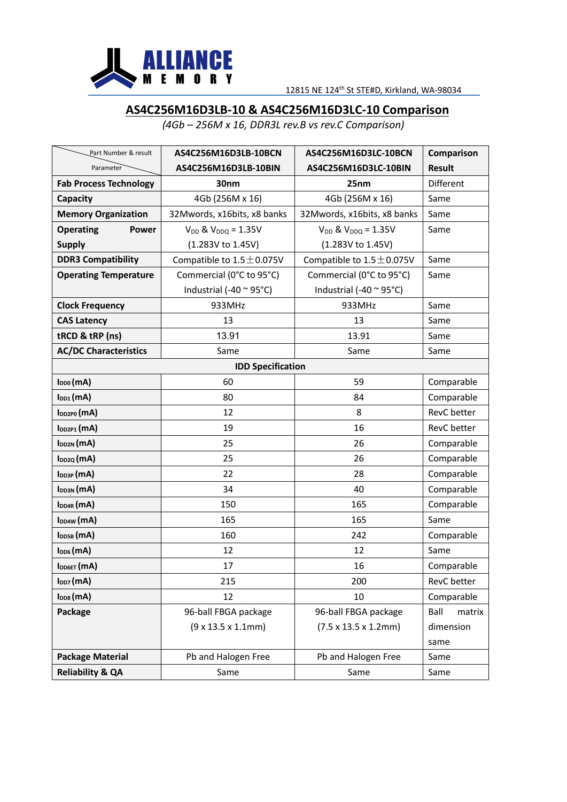

## **AS4C256M16D3LB-10 & AS4C256M16D3LC-10 Comparison**

*(4Gb – 256M x 16, DDR3L rev.B vs rev.C Comparison)*

| Part Number & result          | AS4C256M16D3LB-10BCN            | AS4C256M16D3LC-10BCN                     | Comparison     |
|-------------------------------|---------------------------------|------------------------------------------|----------------|
| Parameter                     | AS4C256M16D3LB-10BIN            | AS4C256M16D3LC-10BIN                     | <b>Result</b>  |
| <b>Fab Process Technology</b> | 30nm                            | 25nm                                     | Different      |
| Capacity                      | 4Gb (256M x 16)                 | 4Gb (256M x 16)                          | Same           |
| <b>Memory Organization</b>    | 32Mwords, x16bits, x8 banks     | 32Mwords, x16bits, x8 banks              | Same           |
| <b>Operating</b><br>Power     | $V_{DD}$ & $V_{DDQ} = 1.35V$    | $V_{DD}$ & $V_{DDQ} = 1.35V$             | Same           |
| <b>Supply</b>                 | (1.283V to 1.45V)               | (1.283V to 1.45V)                        |                |
| <b>DDR3 Compatibility</b>     | Compatible to $1.5 \pm 0.075$ V | Compatible to $1.5 \pm 0.075$ V          | Same           |
| <b>Operating Temperature</b>  | Commercial (0°C to 95°C)        | Commercial (0°C to 95°C)                 | Same           |
|                               | Industrial (-40 $\sim$ 95°C)    | Industrial (-40 $\sim$ 95°C)             |                |
| <b>Clock Frequency</b>        | 933MHz                          | 933MHz                                   | Same           |
| <b>CAS Latency</b>            | 13                              | 13                                       | Same           |
| tRCD & tRP (ns)               | 13.91                           | 13.91                                    | Same           |
| <b>AC/DC Characteristics</b>  | Same                            | Same                                     | Same           |
| <b>IDD Specification</b>      |                                 |                                          |                |
| $I_{DD0}(mA)$                 | 60                              | 59                                       | Comparable     |
| $I_{DD1}(mA)$                 | 80                              | 84                                       | Comparable     |
| $I_{DD2PO}(mA)$               | 12                              | 8                                        | RevC better    |
| $I_{DD2P1}(mA)$               | 19                              | 16                                       | RevC better    |
| IDD2N (MA)                    | 25                              | 26                                       | Comparable     |
| I <sub>DD2Q</sub> (mA)        | 25                              | 26                                       | Comparable     |
| IDD3P (MA)                    | 22                              | 28                                       | Comparable     |
| IDD3N (MA)                    | 34                              | 40                                       | Comparable     |
| I <sub>DD4R</sub> (mA)        | 150                             | 165                                      | Comparable     |
| I <sub>DD4W</sub> (mA)        | 165                             | 165                                      | Same           |
| IDD5B (MA)                    | 160                             | 242                                      | Comparable     |
| I <sub>DD6</sub> (mA)         | 12                              | 12                                       | Same           |
| IDD6ET (MA)                   | 17                              | 16                                       | Comparable     |
| $I_{DD7}$ (mA)                | 215                             | 200                                      | RevC better    |
| $I_{\text{DD8}}(mA)$          | 12                              | 10                                       | Comparable     |
| Package                       | 96-ball FBGA package            | 96-ball FBGA package                     | Ball<br>matrix |
|                               | $(9 \times 13.5 \times 1.1$ mm) | $(7.5 \times 13.5 \times 1.2 \text{mm})$ | dimension      |
|                               |                                 |                                          | same           |
| <b>Package Material</b>       | Pb and Halogen Free             | Pb and Halogen Free                      | Same           |
| <b>Reliability &amp; QA</b>   | Same                            | Same                                     | Same           |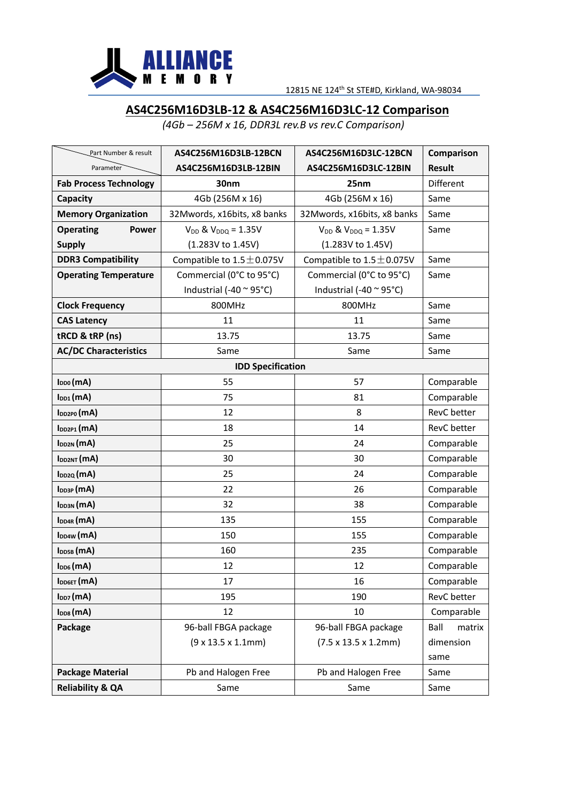

## **AS4C256M16D3LB-12 & AS4C256M16D3LC-12 Comparison**

*(4Gb – 256M x 16, DDR3L rev.B vs rev.C Comparison)*

| Part Number & result          | AS4C256M16D3LB-12BCN            | AS4C256M16D3LC-12BCN                     | Comparison     |
|-------------------------------|---------------------------------|------------------------------------------|----------------|
| Parameter                     | AS4C256M16D3LB-12BIN            | AS4C256M16D3LC-12BIN                     | <b>Result</b>  |
| <b>Fab Process Technology</b> | 30nm                            | 25nm                                     | Different      |
| Capacity                      | 4Gb (256M x 16)                 | 4Gb (256M x 16)                          | Same           |
| <b>Memory Organization</b>    | 32Mwords, x16bits, x8 banks     | 32Mwords, x16bits, x8 banks              | Same           |
| <b>Operating</b><br>Power     | $V_{DD}$ & $V_{DDQ} = 1.35V$    | $V_{DD}$ & $V_{DDQ} = 1.35V$             | Same           |
| <b>Supply</b>                 | (1.283V to 1.45V)               | (1.283V to 1.45V)                        |                |
| <b>DDR3 Compatibility</b>     | Compatible to $1.5 \pm 0.075$ V | Compatible to $1.5 \pm 0.075$ V          | Same           |
| <b>Operating Temperature</b>  | Commercial (0°C to 95°C)        | Commercial (0°C to 95°C)                 | Same           |
|                               | Industrial (-40 $\sim$ 95°C)    | Industrial (-40 $\sim$ 95°C)             |                |
| <b>Clock Frequency</b>        | 800MHz                          | 800MHz                                   | Same           |
| <b>CAS Latency</b>            | 11                              | 11                                       | Same           |
| tRCD & tRP (ns)               | 13.75                           | 13.75                                    | Same           |
| <b>AC/DC Characteristics</b>  | Same                            | Same                                     | Same           |
|                               | <b>IDD Specification</b>        |                                          |                |
| $I_{DD0}(mA)$                 | 55                              | 57                                       | Comparable     |
| $I_{DD1}(mA)$                 | 75                              | 81                                       | Comparable     |
| $I_{DD2PO}(mA)$               | 12                              | 8                                        | RevC better    |
| $I_{DD2P1}(mA)$               | 18                              | 14                                       | RevC better    |
| IDD2N (MA)                    | 25                              | 24                                       | Comparable     |
| IDD2NT (MA)                   | 30                              | 30                                       | Comparable     |
| I <sub>DD2Q</sub> (mA)        | 25                              | 24                                       | Comparable     |
| IDD3P (MA)                    | 22                              | 26                                       | Comparable     |
| IDD3N (MA)                    | 32                              | 38                                       | Comparable     |
| $I_{DD4R}(mA)$                | 135                             | 155                                      | Comparable     |
| I <sub>DD4W</sub> (mA)        | 150                             | 155                                      | Comparable     |
| IDD5B (MA)                    | 160                             | 235                                      | Comparable     |
| $I_{DD6}(mA)$                 | 12                              | 12                                       | Comparable     |
| IDD6ET (MA)                   | 17                              | 16                                       | Comparable     |
| I <sub>DD7</sub> (mA)         | 195                             | 190                                      | RevC better    |
| $I_{\text{DD8}}(mA)$          | 12                              | 10                                       | Comparable     |
| Package                       | 96-ball FBGA package            | 96-ball FBGA package                     | Ball<br>matrix |
|                               | $(9 \times 13.5 \times 1.1$ mm) | $(7.5 \times 13.5 \times 1.2 \text{mm})$ | dimension      |
|                               |                                 |                                          | same           |
| <b>Package Material</b>       | Pb and Halogen Free             | Pb and Halogen Free                      | Same           |
| <b>Reliability &amp; QA</b>   | Same                            | Same                                     | Same           |